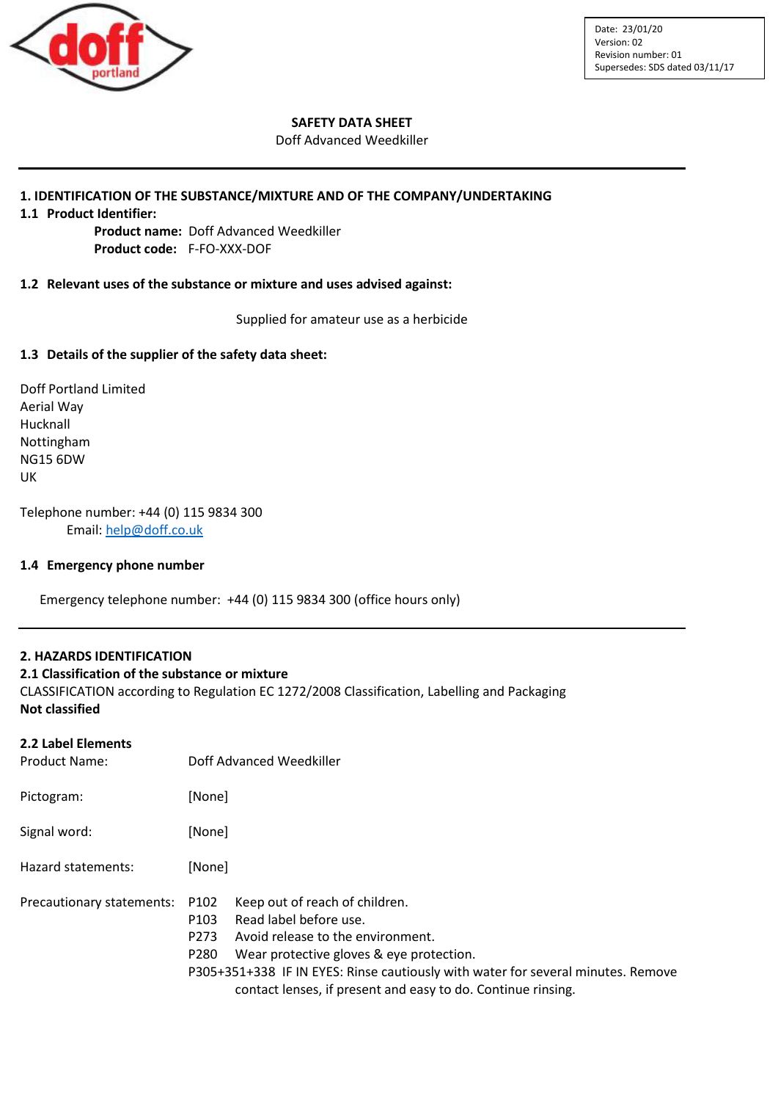

## **SAFETY DATA SHEET**

#### Doff Advanced Weedkiller

## **1. IDENTIFICATION OF THE SUBSTANCE/MIXTURE AND OF THE COMPANY/UNDERTAKING**

**1.1 Product Identifier:**

**Product name:** Doff Advanced Weedkiller **Product code:** F-FO-XXX-DOF

## **1.2 Relevant uses of the substance or mixture and uses advised against:**

Supplied for amateur use as a herbicide

## **1.3 Details of the supplier of the safety data sheet:**

Doff Portland Limited Aerial Way Hucknall Nottingham NG15 6DW UK

Telephone number: +44 (0) 115 9834 300 Email: [help@doff.co.uk](mailto:help@doff.co.uk)

## **1.4 Emergency phone number**

Emergency telephone number: +44 (0) 115 9834 300 (office hours only)

## **2. HAZARDS IDENTIFICATION**

#### **2.1 Classification of the substance or mixture**

CLASSIFICATION according to Regulation EC 1272/2008 Classification, Labelling and Packaging **Not classified**

## **2.2 Label Elements**

| <b>Product Name:</b>      | Doff Advanced Weedkiller                                                                                                                                                                                                                                                                                                                                          |  |  |
|---------------------------|-------------------------------------------------------------------------------------------------------------------------------------------------------------------------------------------------------------------------------------------------------------------------------------------------------------------------------------------------------------------|--|--|
| Pictogram:                | [None]                                                                                                                                                                                                                                                                                                                                                            |  |  |
| Signal word:              | [None]                                                                                                                                                                                                                                                                                                                                                            |  |  |
| Hazard statements:        | [None]                                                                                                                                                                                                                                                                                                                                                            |  |  |
| Precautionary statements: | Keep out of reach of children.<br>P102<br>Read label before use.<br>P <sub>103</sub><br>Avoid release to the environment.<br>P <sub>273</sub><br>Wear protective gloves & eye protection.<br>P <sub>280</sub><br>P305+351+338 IF IN EYES: Rinse cautiously with water for several minutes. Remove<br>contact lenses, if present and easy to do. Continue rinsing. |  |  |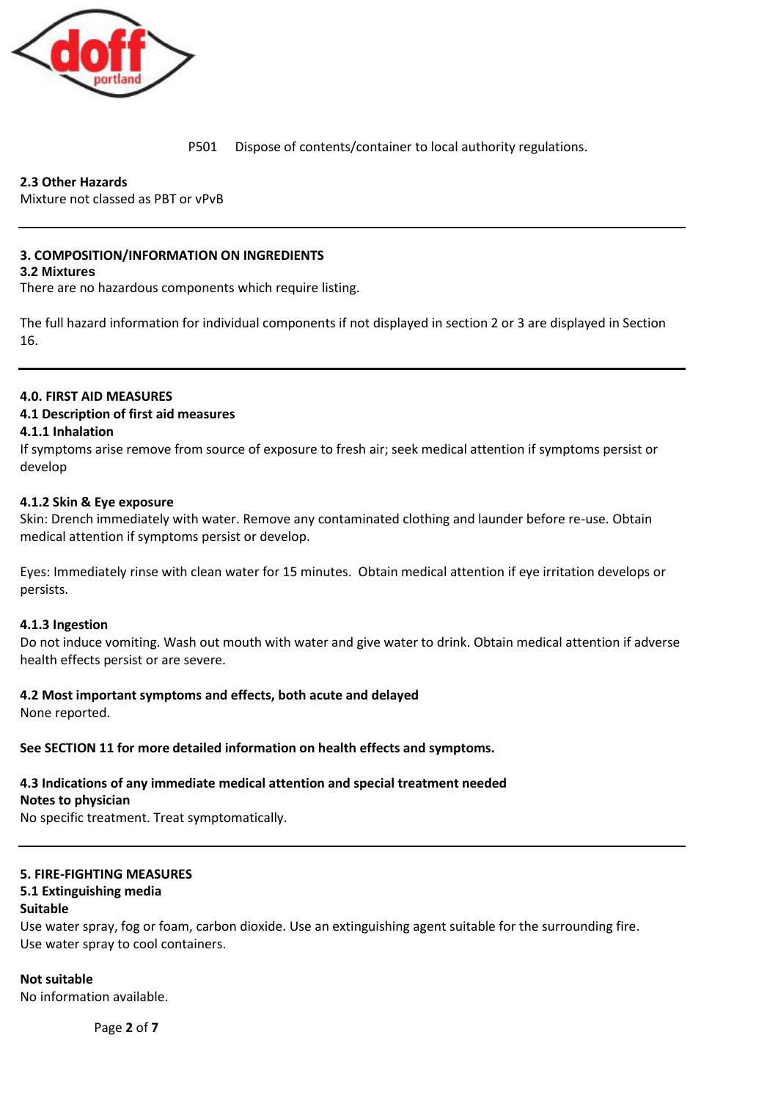

P501 Dispose of contents/container to local authority regulations.

# **2.3 Other Hazards**

Mixture not classed as PBT or vPvB

# **3. COMPOSITION/INFORMATION ON INGREDIENTS**

## **3.2 Mixtures**

There are no hazardous components which require listing.

The full hazard information for individual components if not displayed in section 2 or 3 are displayed in Section 16.

## **4.0. FIRST AID MEASURES**

## **4.1 Description of first aid measures**

## **4.1.1 Inhalation**

If symptoms arise remove from source of exposure to fresh air; seek medical attention if symptoms persist or develop

## **4.1.2 Skin & Eye exposure**

Skin: Drench immediately with water. Remove any contaminated clothing and launder before re-use. Obtain medical attention if symptoms persist or develop.

Eyes: Immediately rinse with clean water for 15 minutes. Obtain medical attention if eye irritation develops or persists.

## **4.1.3 Ingestion**

Do not induce vomiting. Wash out mouth with water and give water to drink. Obtain medical attention if adverse health effects persist or are severe.

## **4.2 Most important symptoms and effects, both acute and delayed**

None reported.

#### **See SECTION 11 for more detailed information on health effects and symptoms.**

## **4.3 Indications of any immediate medical attention and special treatment needed**

**Notes to physician**

No specific treatment. Treat symptomatically.

# **5. FIRE-FIGHTING MEASURES**

# **5.1 Extinguishing media**

## **Suitable**

Use water spray, fog or foam, carbon dioxide. Use an extinguishing agent suitable for the surrounding fire. Use water spray to cool containers.

## **Not suitable**

No information available.

Page **2** of **7**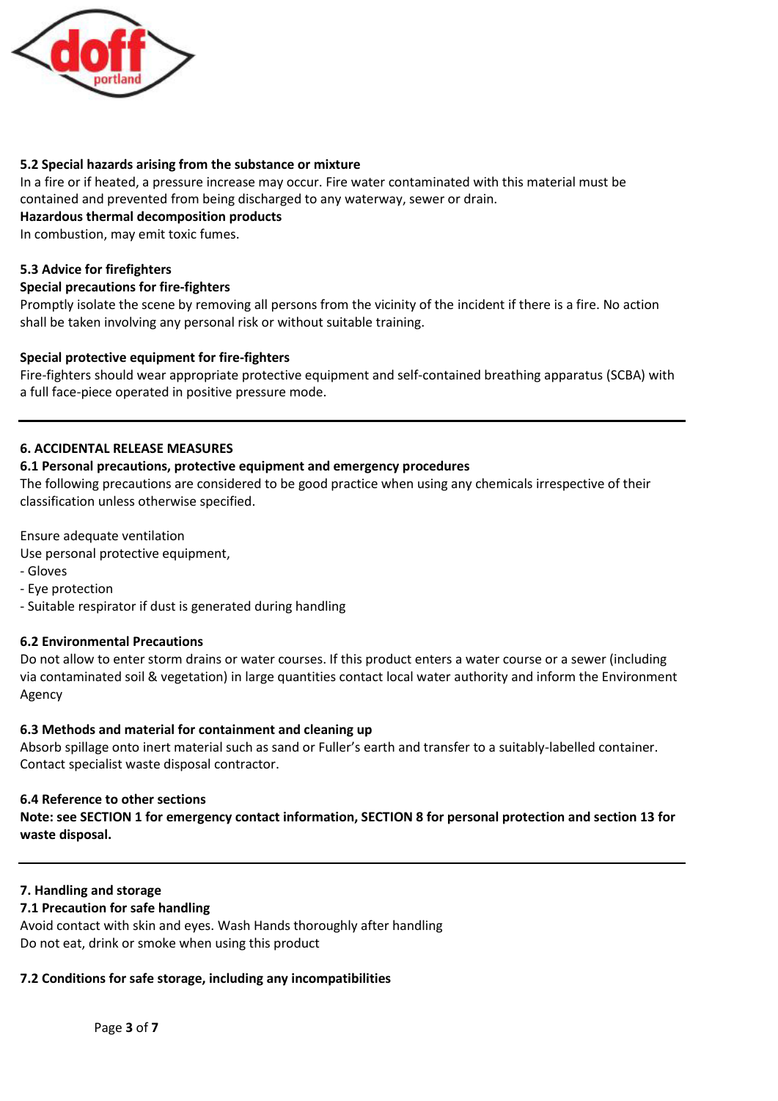

## **5.2 Special hazards arising from the substance or mixture**

In a fire or if heated, a pressure increase may occur. Fire water contaminated with this material must be contained and prevented from being discharged to any waterway, sewer or drain.

## **Hazardous thermal decomposition products**

In combustion, may emit toxic fumes.

## **5.3 Advice for firefighters**

## **Special precautions for fire-fighters**

Promptly isolate the scene by removing all persons from the vicinity of the incident if there is a fire. No action shall be taken involving any personal risk or without suitable training.

## **Special protective equipment for fire-fighters**

Fire-fighters should wear appropriate protective equipment and self-contained breathing apparatus (SCBA) with a full face-piece operated in positive pressure mode.

## **6. ACCIDENTAL RELEASE MEASURES**

## **6.1 Personal precautions, protective equipment and emergency procedures**

The following precautions are considered to be good practice when using any chemicals irrespective of their classification unless otherwise specified.

Ensure adequate ventilation

Use personal protective equipment,

- Gloves
- Eye protection
- Suitable respirator if dust is generated during handling

## **6.2 Environmental Precautions**

Do not allow to enter storm drains or water courses. If this product enters a water course or a sewer (including via contaminated soil & vegetation) in large quantities contact local water authority and inform the Environment Agency

#### **6.3 Methods and material for containment and cleaning up**

Absorb spillage onto inert material such as sand or Fuller's earth and transfer to a suitably-labelled container. Contact specialist waste disposal contractor.

#### **6.4 Reference to other sections**

**Note: see SECTION 1 for emergency contact information, SECTION 8 for personal protection and section 13 for waste disposal.**

## **7. Handling and storage**

## **7.1 Precaution for safe handling**

Avoid contact with skin and eyes. Wash Hands thoroughly after handling Do not eat, drink or smoke when using this product

## **7.2 Conditions for safe storage, including any incompatibilities**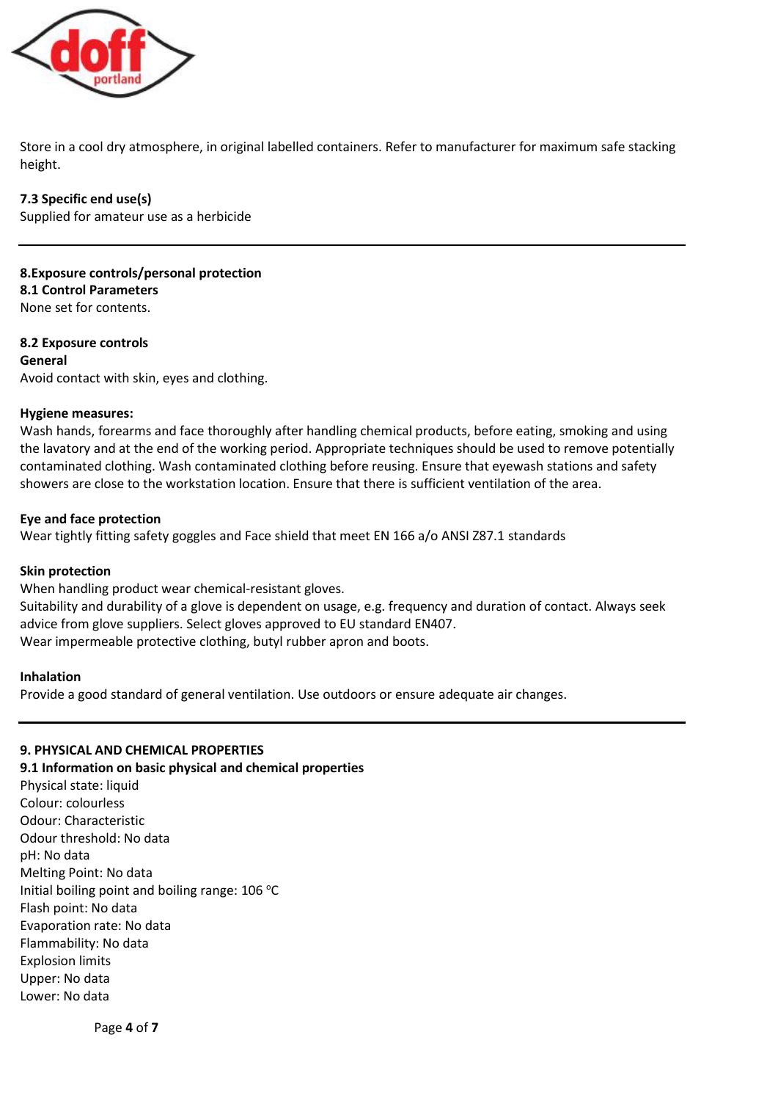

Store in a cool dry atmosphere, in original labelled containers. Refer to manufacturer for maximum safe stacking height.

**7.3 Specific end use(s)** Supplied for amateur use as a herbicide

**8.Exposure controls/personal protection 8.1 Control Parameters** None set for contents.

**8.2 Exposure controls General** Avoid contact with skin, eyes and clothing.

## **Hygiene measures:**

Wash hands, forearms and face thoroughly after handling chemical products, before eating, smoking and using the lavatory and at the end of the working period. Appropriate techniques should be used to remove potentially contaminated clothing. Wash contaminated clothing before reusing. Ensure that eyewash stations and safety showers are close to the workstation location. Ensure that there is sufficient ventilation of the area.

## **Eye and face protection**

Wear tightly fitting safety goggles and Face shield that meet EN 166 a/o ANSI Z87.1 standards

#### **Skin protection**

When handling product wear chemical-resistant gloves.

Suitability and durability of a glove is dependent on usage, e.g. frequency and duration of contact. Always seek advice from glove suppliers. Select gloves approved to EU standard EN407. Wear impermeable protective clothing, butyl rubber apron and boots.

#### **Inhalation**

Provide a good standard of general ventilation. Use outdoors or ensure adequate air changes.

## **9. PHYSICAL AND CHEMICAL PROPERTIES**

**9.1 Information on basic physical and chemical properties**

Physical state: liquid Colour: colourless Odour: Characteristic Odour threshold: No data pH: No data Melting Point: No data Initial boiling point and boiling range:  $106 °C$ Flash point: No data Evaporation rate: No data Flammability: No data Explosion limits Upper: No data Lower: No data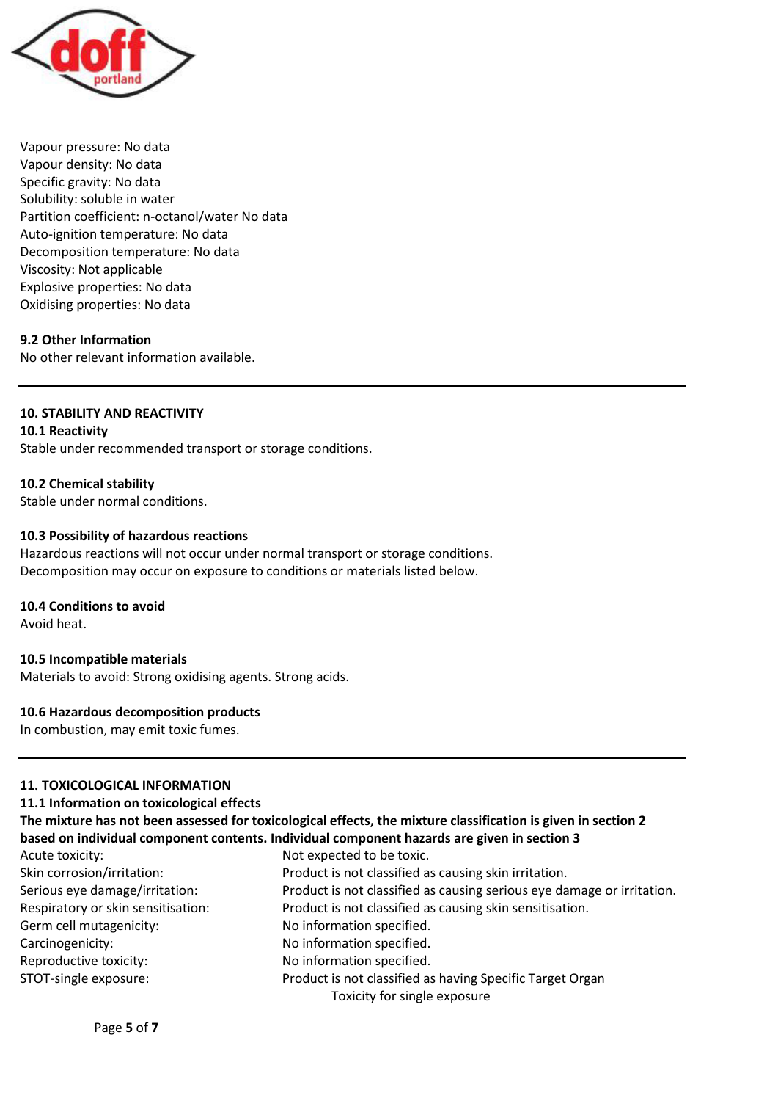

Vapour pressure: No data Vapour density: No data Specific gravity: No data Solubility: soluble in water Partition coefficient: n-octanol/water No data Auto-ignition temperature: No data Decomposition temperature: No data Viscosity: Not applicable Explosive properties: No data Oxidising properties: No data

# **9.2 Other Information**

No other relevant information available.

## **10. STABILITY AND REACTIVITY**

**10.1 Reactivity** Stable under recommended transport or storage conditions.

## **10.2 Chemical stability**

Stable under normal conditions.

## **10.3 Possibility of hazardous reactions**

Hazardous reactions will not occur under normal transport or storage conditions. Decomposition may occur on exposure to conditions or materials listed below.

#### **10.4 Conditions to avoid**

Avoid heat.

#### **10.5 Incompatible materials**

Materials to avoid: Strong oxidising agents. Strong acids.

# **10.6 Hazardous decomposition products**

In combustion, may emit toxic fumes.

## **11. TOXICOLOGICAL INFORMATION**

#### **11.1 Information on toxicological effects**

|                                    | The mixture has not been assessed for toxicological effects, the mixture classification is given in section 2 |
|------------------------------------|---------------------------------------------------------------------------------------------------------------|
|                                    | based on individual component contents. Individual component hazards are given in section 3                   |
| Acute toxicity:                    | Not expected to be toxic.                                                                                     |
| Skin corrosion/irritation:         | Product is not classified as causing skin irritation.                                                         |
| Serious eye damage/irritation:     | Product is not classified as causing serious eye damage or irritation.                                        |
| Respiratory or skin sensitisation: | Product is not classified as causing skin sensitisation.                                                      |
| Germ cell mutagenicity:            | No information specified.                                                                                     |
| Carcinogenicity:                   | No information specified.                                                                                     |
| Reproductive toxicity:             | No information specified.                                                                                     |
| STOT-single exposure:              | Product is not classified as having Specific Target Organ                                                     |
|                                    | Toxicity for single exposure                                                                                  |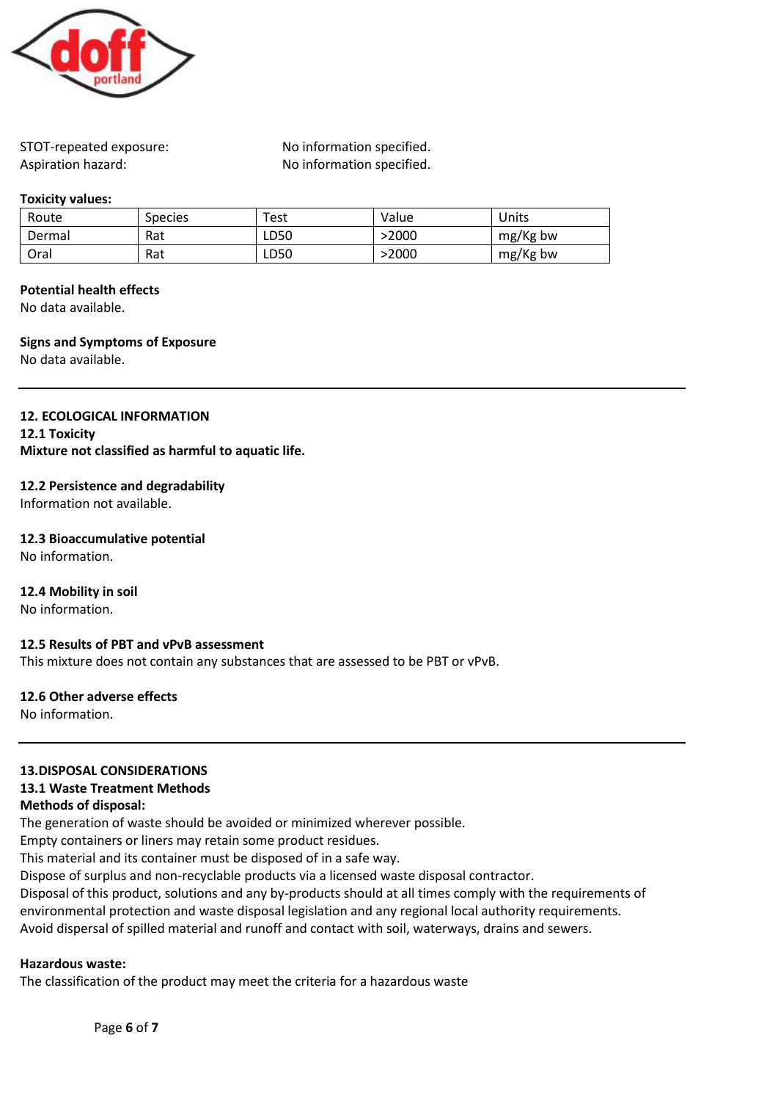

STOT-repeated exposure: No information specified. Aspiration hazard: No information specified.

#### **Toxicity values:**

| Route  | <b>Species</b> | $\tau_{\mathsf{est}}$ | Value | Units    |
|--------|----------------|-----------------------|-------|----------|
| Dermal | Rat            | LD50                  | >2000 | mg/Kg bw |
| Oral   | Rat            | LD50                  | >2000 | mg/Kg bw |

## **Potential health effects**

No data available.

## **Signs and Symptoms of Exposure**

No data available.

# **12. ECOLOGICAL INFORMATION**

**12.1 Toxicity Mixture not classified as harmful to aquatic life.**

## **12.2 Persistence and degradability**

Information not available.

# **12.3 Bioaccumulative potential**

No information.

## **12.4 Mobility in soil**

No information.

## **12.5 Results of PBT and vPvB assessment**

This mixture does not contain any substances that are assessed to be PBT or vPvB.

#### **12.6 Other adverse effects**

No information.

## **13.DISPOSAL CONSIDERATIONS**

## **13.1 Waste Treatment Methods**

## **Methods of disposal:**

The generation of waste should be avoided or minimized wherever possible.

Empty containers or liners may retain some product residues.

This material and its container must be disposed of in a safe way.

Dispose of surplus and non-recyclable products via a licensed waste disposal contractor.

Disposal of this product, solutions and any by-products should at all times comply with the requirements of environmental protection and waste disposal legislation and any regional local authority requirements. Avoid dispersal of spilled material and runoff and contact with soil, waterways, drains and sewers.

## **Hazardous waste:**

The classification of the product may meet the criteria for a hazardous waste